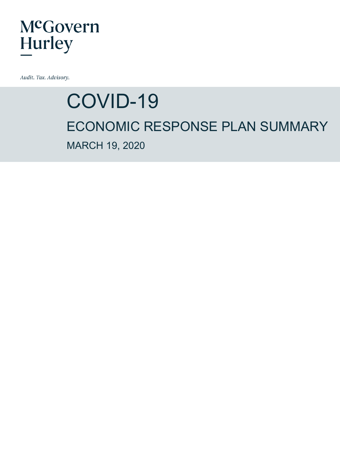Audit. Tax. Advisory.

# COVID-19 ECONOMIC RESPONSE PLAN SUMMARY MARCH 19, 2020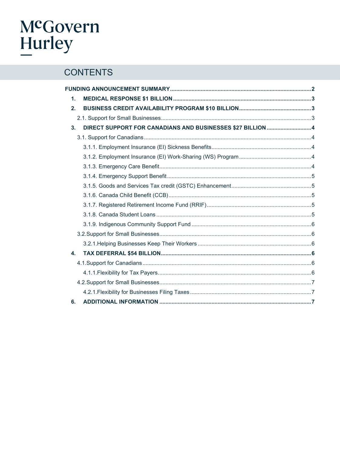# McGovern<br>Hurley

### **CONTENTS**

| 1.           |                                                            |  |  |
|--------------|------------------------------------------------------------|--|--|
| 2.           |                                                            |  |  |
|              |                                                            |  |  |
| 3.           | DIRECT SUPPORT FOR CANADIANS AND BUSINESSES \$27 BILLION 4 |  |  |
|              |                                                            |  |  |
|              |                                                            |  |  |
|              |                                                            |  |  |
|              |                                                            |  |  |
|              |                                                            |  |  |
|              |                                                            |  |  |
|              |                                                            |  |  |
|              |                                                            |  |  |
|              |                                                            |  |  |
|              |                                                            |  |  |
|              |                                                            |  |  |
|              |                                                            |  |  |
| $\mathbf{4}$ |                                                            |  |  |
|              |                                                            |  |  |
|              |                                                            |  |  |
|              |                                                            |  |  |
|              |                                                            |  |  |
| 6.           |                                                            |  |  |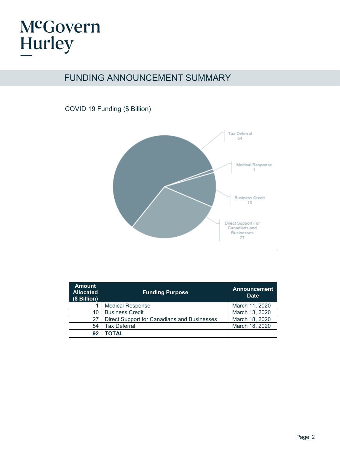### FUNDING ANNOUNCEMENT SUMMARY

### COVID 19 Funding (\$ Billion)



| <b>Amount</b><br><b>Allocated</b><br>(\$ Billion) | <b>Funding Purpose</b>                      | <b>Announcement</b><br><b>Date</b> |
|---------------------------------------------------|---------------------------------------------|------------------------------------|
|                                                   | <b>Medical Response</b>                     | March 11, 2020                     |
| 10                                                | <b>Business Credit</b>                      | March 13, 2020                     |
| 27                                                | Direct Support for Canadians and Businesses | March 18, 2020                     |
| 54                                                | <b>Tax Deferral</b>                         | March 18, 2020                     |
| 92                                                | <b>TOTAL</b>                                |                                    |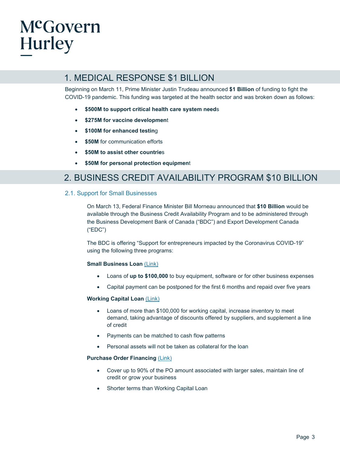### 1. MEDICAL RESPONSE \$1 BILLION

Beginning on March 11, Prime Minister Justin Trudeau announced **\$1 Billion** of funding to fight the COVID-19 pandemic. This funding was targeted at the health sector and was broken down as follows:

- **\$500M to support critical health care system need**s
- **\$275M for vaccine developmen**t
- **\$100M for enhanced testin**g
- **\$50M** for communication efforts
- **\$50M to assist other countrie**s
- **\$50M for personal protection equipmen**t

### 2. BUSINESS CREDIT AVAILABILITY PROGRAM \$10 BILLION

#### <span id="page-3-0"></span>2.1. Support for Small Businesses

On March 13, Federal Finance Minister Bill Morneau announced that **\$10 Billion** would be available through the Business Credit Availability Program and to be administered through the Business Development Bank of Canada ("BDC") and Export Development Canada ("EDC")

The BDC is offering "Support for entrepreneurs impacted by the Coronavirus COVID-19" using the following three programs:

#### **Small Business Loan [\(Link\)](https://www.bdc.ca/en/financing/pages/small-business-loans.aspx?nurturingid=gf-c&searchterm=bdc%20small%20business%20loan&egs=google-ads&egc=Search_BDC_EN_exact&egag=BDC_smb_loans_exact&gclid=CjwKCAjwsMzzBRACEiwAx4lLG9n0FjOph-j4x4Hehs9JJx7Ba8q-Lzo31wEBuUpo6wvHQMpme18jxBoC2rMQAvD_BwE)**

- Loans of **up to \$100,000** to buy equipment, software or for other business expenses
- Capital payment can be postponed for the first 6 months and repaid over five years

#### **Working Capital Loan [\(Link\)](https://www.bdc.ca/en/financing/business-loans/working-capital-financing/pages/working-capital-loan.aspx?nurturingid=gf-c&searchterm=working%20capital%20loan&egs=google-ads&egc=sea_adw_gen_all-device_ca_en_lead_smb-fin_exact&egag=working-capital&gclid=CjwKCAjwsMzzBRACEiwAx4lLG-i66cBmW1cYX8RxNCgCnqwHL3MrlRCBDqTBaFamNP7zVWx8e3lWThoCs7wQAvD_BwE)**

- Loans of more than \$100,000 for working capital, increase inventory to meet demand, taking advantage of discounts offered by suppliers, and supplement a line of credit
- Payments can be matched to cash flow patterns
- Personal assets will not be taken as collateral for the loan

#### **Purchase Order Financing** [\(Link\)](https://www.bdc.ca/en/financing/business-loans/pages/purchase-order-financing.aspx?nurturingid=gf-c&searchterm=purchase%20order%20financing&egs=google-ads&egc=sea_adw_gen_all-device_ca_en_lead_smb-fin_exact_ON&egag=purchase-order_financing&gclid=CjwKCAjwsMzzBRACEiwAx4lLG0QObqJBYWrzhijo_kOl_H0cNYcYq6CHXSloI2KcLrueL3ulHMzUzhoCyCcQAvD_BwE)

- Cover up to 90% of the PO amount associated with larger sales, maintain line of credit or grow your business
- Shorter terms than Working Capital Loan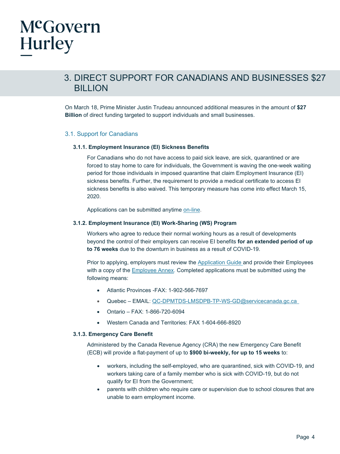### 3. DIRECT SUPPORT FOR CANADIANS AND BUSINESSES \$27 BILLION

On March 18, Prime Minister Justin Trudeau announced additional measures in the amount of **\$27 Billion** of direct funding targeted to support individuals and small businesses.

#### <span id="page-4-0"></span>3.1. Support for Canadians

#### <span id="page-4-1"></span>**3.1.1. Employment Insurance (EI) Sickness Benefits**

For Canadians who do not have access to paid sick leave, are sick, quarantined or are forced to stay home to care for individuals, the Government is waving the one-week waiting period for those individuals in imposed quarantine that claim Employment Insurance (EI) sickness benefits. Further, the requirement to provide a medical certificate to access EI sickness benefits is also waived. This temporary measure has come into effect March 15, 2020.

Applications can be submitted anytime on-line.

#### <span id="page-4-2"></span>**3.1.2. Employment Insurance (EI) Work-Sharing (WS) Program**

Workers who agree to reduce their normal working hours as a result of developments beyond the control of their employers can receive EI benefits **for an extended period of up to 76 weeks** due to the downturn in business as a result of COVID-19.

Prior to applying, employers must review the [Application Guide](https://www.canada.ca/content/dam/canada/employment-social-development/migration/documents/assets/portfolio/docs/en/work_sharing/Work_sharing_applicant_guide.pdf) and provide their Employees with a copy of the [Employee Annex.](https://www.canada.ca/content/dam/esdc-edsc/documents/services/work-sharing/ws_employee_annex_E_final.pdf) Completed applications must be submitted using the following means:

- Atlantic Provinces -FAX: 1-902-566-7697
- Quebec EMAIL: [QC-DPMTDS-LMSDPB-TP-WS-GD@servicecanada.gc.ca](mailto:QC-DPMTDS-LMSDPB-TP-WS-GD@servicecanada.gc.ca)
- Ontario FAX: 1-866-720-6094
- Western Canada and Territories: FAX 1-604-666-8920

#### <span id="page-4-3"></span>**3.1.3. Emergency Care Benefit**

Administered by the Canada Revenue Agency (CRA) the new Emergency Care Benefit (ECB) will provide a flat-payment of up to **\$900 bi-weekly, for up to 15 weeks** to:

- workers, including the self-employed, who are quarantined, sick with COVID-19, and workers taking care of a family member who is sick with COVID-19, but do not qualify for EI from the Government;
- parents with children who require care or supervision due to school closures that are unable to earn employment income.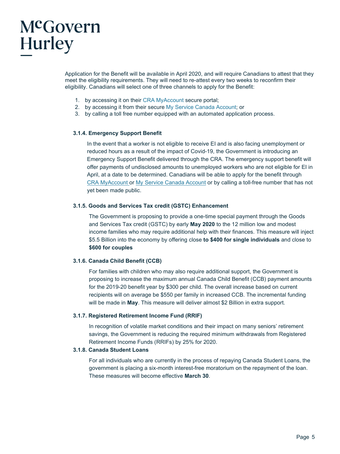Application for the Benefit will be available in April 2020, and will require Canadians to attest that they meet the eligibility requirements. They will need to re-attest every two weeks to reconfirm their eligibility. Canadians will select one of three channels to apply for the Benefit:

- 1. by accessing it on their [CRA MyAccount](https://www.canada.ca/en/revenue-agency/services/e-services/e-services-individuals/account-individuals.html) secure portal;
- 2. by accessing it from their secure [My Service Canada Account;](https://www.canada.ca/en/employment-social-development/services/my-account.html) or
- 3. by calling a toll free number equipped with an automated application process.

#### <span id="page-5-0"></span>**3.1.4. Emergency Support Benefit**

In the event that a worker is not eligible to receive EI and is also facing unemployment or reduced hours as a result of the impact of Covid-19, the Government is introducing an Emergency Support Benefit delivered through the CRA. The emergency support benefit will offer payments of undisclosed amounts to unemployed workers who are not eligible for EI in April, at a date to be determined. Canadians will be able to apply for the benefit through [CRA MyAccount o](https://www.canada.ca/en/revenue-agency/services/e-services/e-services-individuals/account-individuals.html)r My Service Canada Account or by calling a toll-free number that has not yet been made public.

#### <span id="page-5-1"></span>**3.1.5. Goods and Services Tax credit (GSTC) Enhancement**

The Government is proposing to provide a one-time special payment through the Goods and Services Tax credit (GSTC) by early **May 2020** to the 12 million low and modest income families who may require additional help with their finances. This measure will inject \$5.5 Billion into the economy by offering close **to \$400 for single individuals** and close to **\$600 for couples** 

#### <span id="page-5-2"></span>**3.1.6. Canada Child Benefit (CCB)**

For families with children who may also require additional support, the Government is proposing to increase the maximum annual Canada Child Benefit (CCB) payment amounts for the 2019-20 benefit year by \$300 per child. The overall increase based on current recipients will on average be \$550 per family in increased CCB. The incremental funding will be made in **May**. This measure will deliver almost \$2 Billion in extra support.

#### <span id="page-5-3"></span>**3.1.7. Registered Retirement Income Fund (RRIF)**

In recognition of volatile market conditions and their impact on many seniors' retirement savings, the Government is reducing the required minimum withdrawals from Registered Retirement Income Funds (RRIFs) by 25% for 2020.

#### <span id="page-5-4"></span>**3.1.8. Canada Student Loans**

For all individuals who are currently in the process of repaying Canada Student Loans, the government is placing a six-month interest-free moratorium on the repayment of the loan. These measures will become effective **March 30**.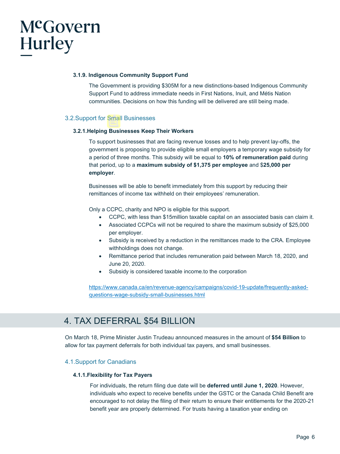#### <span id="page-6-0"></span>**3.1.9. Indigenous Community Support Fund**

The Government is providing \$305M for a new distinctions-based Indigenous Community Support Fund to address immediate needs in First Nations, Inuit, and Métis Nation communities. Decisions on how this funding will be delivered are still being made.

#### <span id="page-6-1"></span>3.2.Support for Small Businesses

#### <span id="page-6-2"></span>**3.2.1.Helping Businesses Keep Their Workers**

To support businesses that are facing revenue losses and to help prevent lay-offs, the government is proposing to provide eligible small employers a temporary wage subsidy for a period of three months. This subsidy will be equal to **10% of remuneration paid** during that period, up to a **maximum subsidy of \$1,375 per employee** and \$**25,000 per employer**.

Businesses will be able to benefit immediately from this support by reducing their remittances of income tax withheld on their employees' remuneration.

Only a CCPC, charity and NPO is eligible for this support.

- CCPC, with less than \$15million taxable capital on an associated basis can claim it.
- Associated CCPCs will not be required to share the maximum subsidy of \$25,000 per employer.
- Subsidy is received by a reduction in the remittances made to the CRA. Employee withholdings does not change.
- Remittance period that includes remuneration paid between March 18, 2020, and June 20, 2020.
- Subsidy is considered taxable income.to the corporation

[https://www.canada.ca/en/revenue-agency/campaigns/covid-19-update/frequently-asked](https://www.canada.ca/en/revenue-agency/campaigns/covid-19-update/frequently-asked-questions-wage-subsidy-small-businesses.html)[questions-wage-subsidy-small-businesses.html](https://www.canada.ca/en/revenue-agency/campaigns/covid-19-update/frequently-asked-questions-wage-subsidy-small-businesses.html)

### 4. TAX DEFERRAL \$54 BILLION

On March 18, Prime Minister Justin Trudeau announced measures in the amount of **\$54 Billion** to allow for tax payment deferrals for both individual tax payers, and small businesses.

#### <span id="page-6-3"></span>4.1.Support for Canadians

#### <span id="page-6-4"></span>**4.1.1.Flexibility for Tax Payers**

For individuals, the return filing due date will be **deferred until June 1, 2020**. However, individuals who expect to receive benefits under the GSTC or the Canada Child Benefit are encouraged to not delay the filing of their return to ensure their entitlements for the 2020-21 benefit year are properly determined. For trusts having a taxation year ending on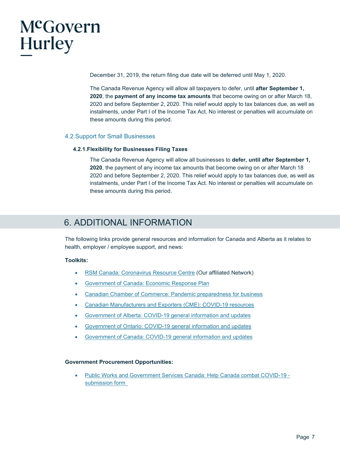

December 31, 2019, the return filing due date will be deferred until May 1, 2020.

The Canada Revenue Agency will allow all taxpayers to defer, until **after September 1, 2020**, the **payment of any income tax amounts** that become owing on or after March 18, 2020 and before September 2, 2020. This relief would apply to tax balances due, as well as instalments, under Part I of the Income Tax Act. No interest or penalties will accumulate on these amounts during this period.

#### <span id="page-7-0"></span>4.2.Support for Small Businesses

#### <span id="page-7-1"></span>**4.2.1.Flexibility for Businesses Filing Taxes**

The Canada Revenue Agency will allow all businesses to **defer, until after September 1, 2020**, the payment of any income tax amounts that become owing on or after March 18 2020 and before September 2, 2020. This relief would apply to tax balances due, as well as instalments, under Part I of the Income Tax Act. No interest or penalties will accumulate on these amounts during this period.

### 6. ADDITIONAL INFORMATION

The following links provide general resources and information for Canada and Alberta as it relates to health, employer / employee support, and news:

#### **Toolkits:**

- RSM Canada: Coronavirus Resource Centre (Our affiliated Network)
- Government of Canada: Economic Response Plan
- Canadian Chamber of Commerce: Pandemic preparedness for business
- Canadian Manufacturers and Exporters (CME): COVID-19 resources
- Government of Alberta: COVID-19 general information and updates
- Government of Ontario: COVID-19 general information and updates
- Government of Canada: COVID-19 general information and updates

#### **Government Procurement Opportunities:**

• [Public Works and Government Services Canada: Help Canada combat COVID-19](https://buyandsell.gc.ca/forms/help-canada-combat-covid-19-submission-form)  [submission form](https://buyandsell.gc.ca/forms/help-canada-combat-covid-19-submission-form)